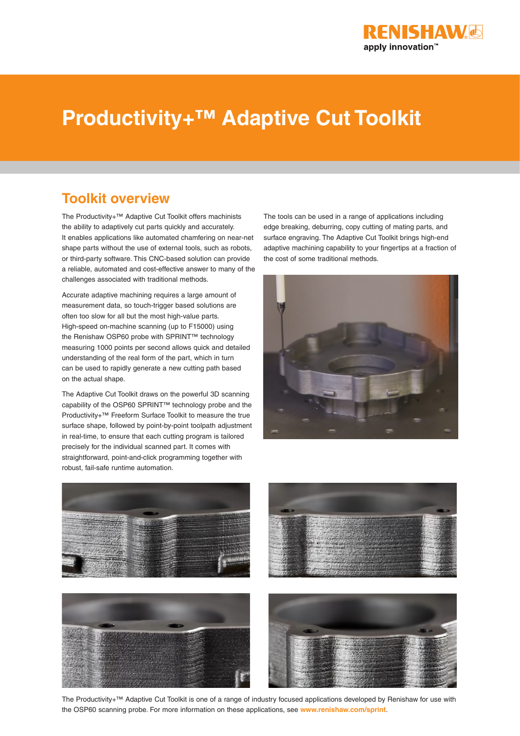

# **Productivity+™ Adaptive Cut Toolkit**

### **Toolkit overview**

The Productivity+™ Adaptive Cut Toolkit offers machinists the ability to adaptively cut parts quickly and accurately. It enables applications like automated chamfering on near-net shape parts without the use of external tools, such as robots, or third-party software. This CNC-based solution can provide a reliable, automated and cost-effective answer to many of the challenges associated with traditional methods.

Accurate adaptive machining requires a large amount of measurement data, so touch-trigger based solutions are often too slow for all but the most high-value parts. High-speed on-machine scanning (up to F15000) using the Renishaw OSP60 probe with SPRINT™ technology measuring 1000 points per second allows quick and detailed understanding of the real form of the part, which in turn can be used to rapidly generate a new cutting path based on the actual shape.

The Adaptive Cut Toolkit draws on the powerful 3D scanning capability of the OSP60 SPRINT™ technology probe and the Productivity+™ Freeform Surface Toolkit to measure the true surface shape, followed by point-by-point toolpath adjustment in real-time, to ensure that each cutting program is tailored precisely for the individual scanned part. It comes with straightforward, point-and-click programming together with robust, fail-safe runtime automation.

The tools can be used in a range of applications including edge breaking, deburring, copy cutting of mating parts, and surface engraving. The Adaptive Cut Toolkit brings high-end adaptive machining capability to your fingertips at a fraction of the cost of some traditional methods.











The Productivity+™ Adaptive Cut Toolkit is one of a range of industry focused applications developed by Renishaw for use with the OSP60 scanning probe. For more information on these applications, see **www.renishaw.com/sprint**.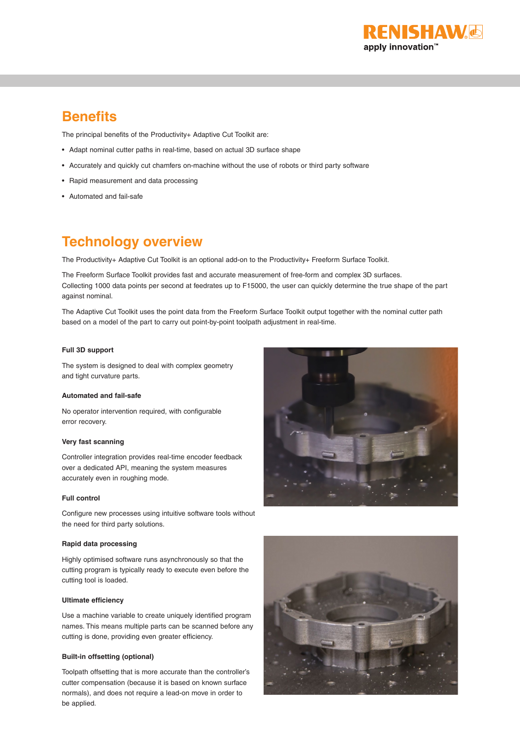

### **Benefits**

The principal benefits of the Productivity+ Adaptive Cut Toolkit are:

- Adapt nominal cutter paths in real-time, based on actual 3D surface shape
- Accurately and quickly cut chamfers on-machine without the use of robots or third party software
- Rapid measurement and data processing
- Automated and fail-safe

### **Technology overview**

The Productivity+ Adaptive Cut Toolkit is an optional add-on to the Productivity+ Freeform Surface Toolkit.

The Freeform Surface Toolkit provides fast and accurate measurement of free-form and complex 3D surfaces. Collecting 1000 data points per second at feedrates up to F15000, the user can quickly determine the true shape of the part against nominal.

The Adaptive Cut Toolkit uses the point data from the Freeform Surface Toolkit output together with the nominal cutter path based on a model of the part to carry out point-by-point toolpath adjustment in real-time.

#### **Full 3D support**

The system is designed to deal with complex geometry and tight curvature parts.

#### **Automated and fail-safe**

No operator intervention required, with configurable error recovery.

#### **Very fast scanning**

Controller integration provides real-time encoder feedback over a dedicated API, meaning the system measures accurately even in roughing mode.

#### **Full control**

Configure new processes using intuitive software tools without the need for third party solutions.

#### **Rapid data processing**

Highly optimised software runs asynchronously so that the cutting program is typically ready to execute even before the cutting tool is loaded.

#### **Ultimate efficiency**

Use a machine variable to create uniquely identified program names. This means multiple parts can be scanned before any cutting is done, providing even greater efficiency.

#### **Built-in offsetting (optional)**

Toolpath offsetting that is more accurate than the controller's cutter compensation (because it is based on known surface normals), and does not require a lead-on move in order to be applied.



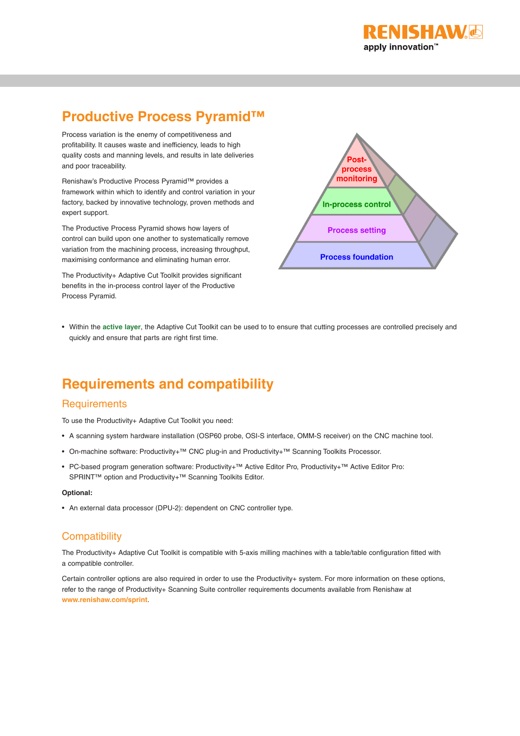

## **Productive Process Pyramid™**

Process variation is the enemy of competitiveness and profitability. It causes waste and inefficiency, leads to high quality costs and manning levels, and results in late deliveries and poor traceability.

Renishaw's Productive Process Pyramid™ provides a framework within which to identify and control variation in your factory, backed by innovative technology, proven methods and expert support.

The Productive Process Pyramid shows how layers of control can build upon one another to systematically remove variation from the machining process, increasing throughput, maximising conformance and eliminating human error.

The Productivity+ Adaptive Cut Toolkit provides significant benefits in the in-process control layer of the Productive Process Pyramid.



• Within the **active layer**, the Adaptive Cut Toolkit can be used to to ensure that cutting processes are controlled precisely and quickly and ensure that parts are right first time.

## **Requirements and compatibility**

#### **Requirements**

To use the Productivity+ Adaptive Cut Toolkit you need:

- A scanning system hardware installation (OSP60 probe, OSI-S interface, OMM-S receiver) on the CNC machine tool.
- On-machine software: Productivity+™ CNC plug-in and Productivity+™ Scanning Toolkits Processor.
- PC-based program generation software: Productivity+™ Active Editor Pro, Productivity+™ Active Editor Pro: SPRINT™ option and Productivity+™ Scanning Toolkits Editor.

#### **Optional:**

• An external data processor (DPU-2): dependent on CNC controller type.

### **Compatibility**

The Productivity+ Adaptive Cut Toolkit is compatible with 5-axis milling machines with a table/table configuration fitted with a compatible controller.

Certain controller options are also required in order to use the Productivity+ system. For more information on these options, refer to the range of Productivity+ Scanning Suite controller requirements documents available from Renishaw at **www.renishaw.com/sprint**.